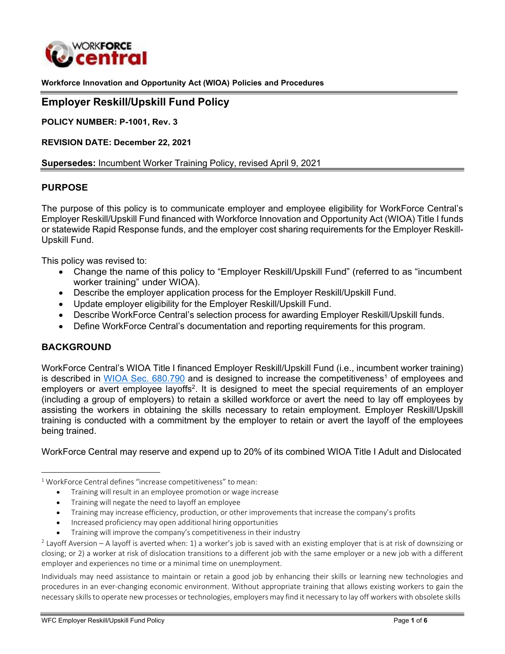

<span id="page-0-0"></span>**Workforce Innovation and Opportunity Act (WIOA) Policies and Procedures**

#### **Employer Reskill/Upskill Fund Policy**

**POLICY NUMBER: P-1001, Rev. 3**

**REVISION DATE: December 22, 2021**

#### **Supersedes:** Incumbent Worker Training Policy, revised April 9, 2021

#### **PURPOSE**

The purpose of this policy is to communicate employer and employee eligibility for WorkForce Central's Employer Reskill/Upskill Fund financed with Workforce Innovation and Opportunity Act (WIOA) Title I funds or statewide Rapid Response funds, and the employer cost sharing requirements for the Employer Reskill-Upskill Fund.

This policy was revised to:

- Change the name of this policy to "Employer Reskill/Upskill Fund" (referred to as "incumbent worker training" under WIOA).
- Describe the employer application process for the Employer Reskill/Upskill Fund.
- Update employer eligibility for the Employer Reskill/Upskill Fund.
- Describe WorkForce Central's selection process for awarding Employer Reskill/Upskill funds.
- Define WorkForce Central's documentation and reporting requirements for this program.

#### **BACKGROUND**

WorkForce Central's WIOA Title I financed Employer Reskill/Upskill Fund (i.e., incumbent worker training) is described in WIOA Sec.  $680.790$  and is designed to increase the competitiveness<sup>1</sup> of employees and employers or avert employee layoffs<sup>2</sup>. It is designed to meet the special requirements of an employer (including a group of employers) to retain a skilled workforce or avert the need to lay off employees by assisting the workers in obtaining the skills necessary to retain employment. Employer Reskill/Upskill training is conducted with a commitment by the employer to retain or avert the layoff of the employees being trained.

WorkForce Central may reserve and expend up to 20% of its combined WIOA Title I Adult and Dislocated

- Increased proficiency may open additional hiring opportunities
- Training will improve the company's competitiveness in their industry

Individuals may need assistance to maintain or retain a good job by enhancing their skills or learning new technologies and procedures in an ever-changing economic environment. Without appropriate training that allows existing workers to gain the necessary skills to operate new processes or technologies, employers may find it necessary to lay off workers with obsolete skills

<sup>&</sup>lt;sup>1</sup> WorkForce Central defines "increase competitiveness" to mean:

<sup>•</sup> Training will result in an employee promotion or wage increase

<sup>•</sup> Training will negate the need to layoff an employee

<sup>•</sup> Training may increase efficiency, production, or other improvements that increase the company's profits

 $2$  Layoff Aversion – A layoff is averted when: 1) a worker's job is saved with an existing employer that is at risk of downsizing or closing; or 2) a worker at risk of dislocation transitions to a different job with the same employer or a new job with a different employer and experiences no time or a minimal time on unemployment.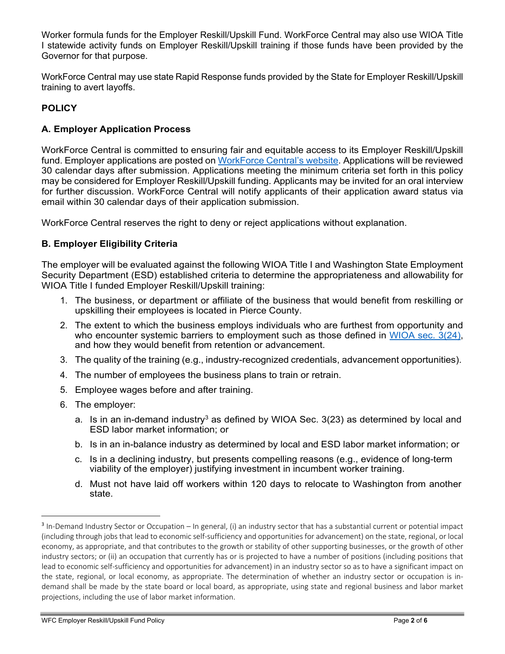<span id="page-1-0"></span>Worker formula funds for the Employer Reskill/Upskill Fund. WorkForce Central may also use WIOA Title I statewide activity funds on Employer Reskill/Upskill training if those funds have been provided by the Governor for that purpose.

WorkForce Central may use state Rapid Response funds provided by the State for Employer Reskill/Upskill training to avert layoffs.

# **POLICY**

## **A. Employer Application Process**

WorkForce Central is committed to ensuring fair and equitable access to its Employer Reskill/Upskill fund. Employer applications are posted on [WorkForce](https://workforce-central.org/) Central's website. Applications will be reviewed 30 calendar days after submission. Applications meeting the minimum criteria set forth in this policy may be considered for Employer Reskill/Upskill funding. Applicants may be invited for an oral interview for further discussion. WorkForce Central will notify applicants of their application award status via email within 30 calendar days of their application submission.

WorkForce Central reserves the right to deny or reject applications without explanation.

## **B. Employer Eligibility Criteria**

The employer will be evaluated against the following WIOA Title I and Washington State Employment Security Department (ESD) established criteria to determine the appropriateness and allowability for WIOA Title I funded Employer Reskill/Upskill training:

- 1. The business, or department or affiliate of the business that would benefit from reskilling or upskilling their employees is located in Pierce County.
- 2. The extent to which the business employs individuals who are furthest from opportunity and who encounter systemic barriers to employment such as those defined in [WIOA sec. 3\(24\),](https://workforce-central.org/wp-content/uploads/2021/12/individuals-with-a-barrier-to-employment-attachment141.pdf) and how they would benefit from retention or advancement.
- 3. The quality of the training (e.g., industry-recognized credentials, advancement opportunities).
- 4. The number of employees the business plans to train or retrain.
- 5. Employee wages before and after training.
- 6. The employer:
	- a. Is in an in-demand industry<sup>3</sup> as defined by WIOA Sec.  $3(23)$  as determined by local and ESD labor market information; or
	- b. Is in an in-balance industry as determined by local and ESD labor market information; or
	- c. Is in a declining industry, but presents compelling reasons (e.g., evidence of long-term viability of the employer) justifying investment in incumbent worker training.
	- d. Must not have laid off workers within 120 days to relocate to Washington from another state.

 $3$  In-Demand Industry Sector or Occupation – In general, (i) an industry sector that has a substantial current or potential impact (including through jobs that lead to economic self-sufficiency and opportunities for advancement) on the state, regional, or local economy, as appropriate, and that contributes to the growth or stability of other supporting businesses, or the growth of other industry sectors; or (ii) an occupation that currently has or is projected to have a number of positions (including positions that lead to economic self-sufficiency and opportunities for advancement) in an industry sector so as to have a significant impact on the state, regional, or local economy, as appropriate. The determination of whether an industry sector or occupation is indemand shall be made by the state board or local board, as appropriate, using state and regional business and labor market projections, including the use of labor market information.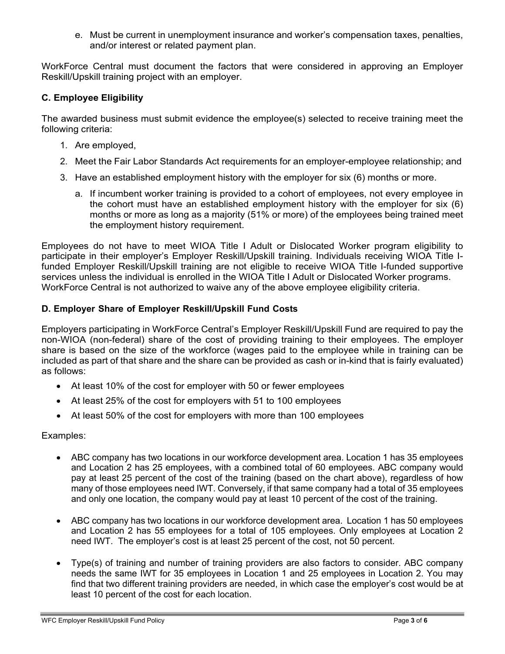e. Must be current in unemployment insurance and worker's compensation taxes, penalties, and/or interest or related payment plan.

WorkForce Central must document the factors that were considered in approving an Employer Reskill/Upskill training project with an employer.

## **C. Employee Eligibility**

The awarded business must submit evidence the employee(s) selected to receive training meet the following criteria:

- 1. Are employed,
- 2. Meet the Fair Labor Standards Act requirements for an employer-employee relationship; and
- 3. Have an established employment history with the employer for six (6) months or more.
	- a. If incumbent worker training is provided to a cohort of employees, not every employee in the cohort must have an established employment history with the employer for six (6) months or more as long as a majority (51% or more) of the employees being trained meet the employment history requirement.

Employees do not have to meet WIOA Title I Adult or Dislocated Worker program eligibility to participate in their employer's Employer Reskill/Upskill training. Individuals receiving WIOA Title Ifunded Employer Reskill/Upskill training are not eligible to receive WIOA Title I-funded supportive services unless the individual is enrolled in the WIOA Title I Adult or Dislocated Worker programs. WorkForce Central is not authorized to waive any of the above employee eligibility criteria.

## **D. Employer Share of Employer Reskill/Upskill Fund Costs**

Employers participating in WorkForce Central's Employer Reskill/Upskill Fund are required to pay the non-WIOA (non-federal) share of the cost of providing training to their employees. The employer share is based on the size of the workforce (wages paid to the employee while in training can be included as part of that share and the share can be provided as cash or in-kind that is fairly evaluated) as follows:

- At least 10% of the cost for employer with 50 or fewer employees
- At least 25% of the cost for employers with 51 to 100 employees
- At least 50% of the cost for employers with more than 100 employees

#### Examples:

- ABC company has two locations in our workforce development area. Location 1 has 35 employees and Location 2 has 25 employees, with a combined total of 60 employees. ABC company would pay at least 25 percent of the cost of the training (based on the chart above), regardless of how many of those employees need IWT. Conversely, if that same company had a total of 35 employees and only one location, the company would pay at least 10 percent of the cost of the training.
- ABC company has two locations in our workforce development area. Location 1 has 50 employees and Location 2 has 55 employees for a total of 105 employees. Only employees at Location 2 need IWT. The employer's cost is at least 25 percent of the cost, not 50 percent.
- Type(s) of training and number of training providers are also factors to consider. ABC company needs the same IWT for 35 employees in Location 1 and 25 employees in Location 2. You may find that two different training providers are needed, in which case the employer's cost would be at least 10 percent of the cost for each location.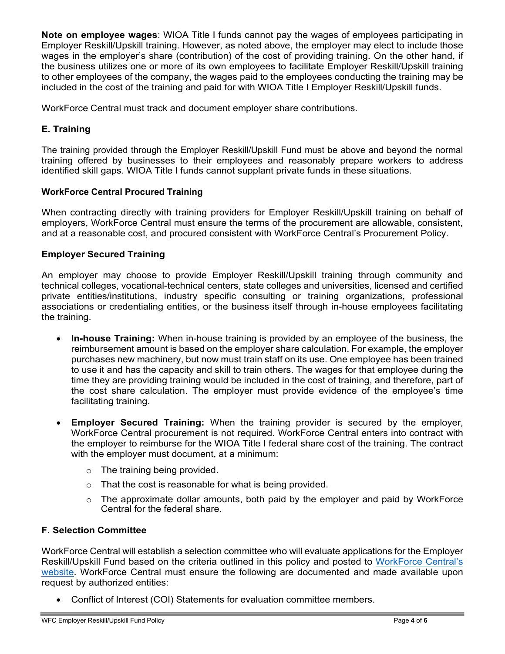**Note on employee wages**: WIOA Title I funds cannot pay the wages of employees participating in Employer Reskill/Upskill training. However, as noted above, the employer may elect to include those wages in the employer's share (contribution) of the cost of providing training. On the other hand, if the business utilizes one or more of its own employees to facilitate Employer Reskill/Upskill training to other employees of the company, the wages paid to the employees conducting the training may be included in the cost of the training and paid for with WIOA Title I Employer Reskill/Upskill funds.

WorkForce Central must track and document employer share contributions.

# **E. Training**

The training provided through the Employer Reskill/Upskill Fund must be above and beyond the normal training offered by businesses to their employees and reasonably prepare workers to address identified skill gaps. WIOA Title I funds cannot supplant private funds in these situations.

## **WorkForce Central Procured Training**

When contracting directly with training providers for Employer Reskill/Upskill training on behalf of employers, WorkForce Central must ensure the terms of the procurement are allowable, consistent, and at a reasonable cost, and procured consistent with WorkForce Central's Procurement Policy.

## **Employer Secured Training**

An employer may choose to provide Employer Reskill/Upskill training through community and technical colleges, vocational-technical centers, state colleges and universities, licensed and certified private entities/institutions, industry specific consulting or training organizations, professional associations or credentialing entities, or the business itself through in-house employees facilitating the training.

- **In-house Training:** When in-house training is provided by an employee of the business, the reimbursement amount is based on the employer share calculation. For example, the employer purchases new machinery, but now must train staff on its use. One employee has been trained to use it and has the capacity and skill to train others. The wages for that employee during the time they are providing training would be included in the cost of training, and therefore, part of the cost share calculation. The employer must provide evidence of the employee's time facilitating training.
- **Employer Secured Training:** When the training provider is secured by the employer, WorkForce Central procurement is not required. WorkForce Central enters into contract with the employer to reimburse for the WIOA Title I federal share cost of the training. The contract with the employer must document, at a minimum:
	- o The training being provided.
	- o That the cost is reasonable for what is being provided.
	- $\circ$  The approximate dollar amounts, both paid by the employer and paid by WorkForce Central for the federal share.

## **F. Selection Committee**

WorkForce Central will establish a selection committee who will evaluate applications for the Employer Reskill/Upskill Fund based on the criteria outlined in this policy and posted to [WorkForce Central's](https://workforce-central.org/) [website.](https://workforce-central.org/) WorkForce Central must ensure the following are documented and made available upon request by authorized entities:

• Conflict of Interest (COI) Statements for evaluation committee members.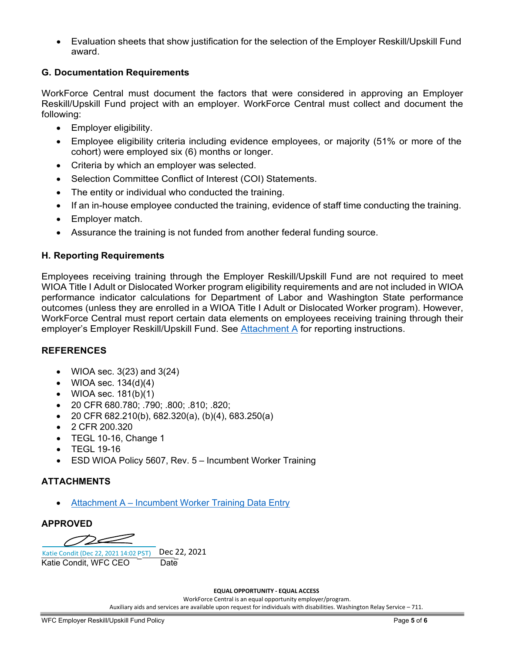• Evaluation sheets that show justification for the selection of the Employer Reskill/Upskill Fund award.

## **G. Documentation Requirements**

WorkForce Central must document the factors that were considered in approving an Employer Reskill/Upskill Fund project with an employer. WorkForce Central must collect and document the following:

- Employer eligibility.
- Employee eligibility criteria including evidence employees, or majority (51% or more of the cohort) were employed six (6) months or longer.
- Criteria by which an employer was selected.
- Selection Committee Conflict of Interest (COI) Statements.
- The entity or individual who conducted the training.
- If an in-house employee conducted the training, evidence of staff time conducting the training.
- Employer match.
- Assurance the training is not funded from another federal funding source.

#### **H. Reporting Requirements**

Employees receiving training through the Employer Reskill/Upskill Fund are not required to meet WIOA Title I Adult or Dislocated Worker program eligibility requirements and are not included in WIOA performance indicator calculations for Department of Labor and Washington State performance outcomes (unless they are enrolled in a WIOA Title I Adult or Dislocated Worker program). However, WorkForce Central must report certain data elements on employees receiving training through their employer's Employer Reskill/Upskill Fund. See [Attachment A f](https://wfcentral.sharepoint.com/sites/Hub/Departments/Contract/Shared%20Documents/Policies/Program%20Policies%20and%20Procedures/Incumbent%20Worker/Revised%20Incumbent%20Worker%20Policy%20March%202021/Incumbent%20Worker%20Policy.docx#AttachmentA)or reporting instructions.

#### **REFERENCES**

- WIOA sec.  $3(23)$  and  $3(24)$
- WIOA sec.  $134(d)(4)$
- WIOA sec.  $181(b)(1)$
- 20 CFR 680.780; .790; .800; .810; .820;
- 20 CFR 682.210(b), 682.320(a), (b)(4), 683.250(a)
- 2 CFR 200.320
- TEGL 10-16, Change 1
- TEGL 19-16
- ESD WIOA Policy 5607, Rev. 5 Incumbent Worker Training

#### **ATTACHMENTS**

• [Attachment A – Incumbent](#page-5-0) Worker Training Data Entry

#### **APPROVED**

 $\mathcal{D} \mathcal{L}$ 

Katie Condit (Dec 22, 2021 14:02 [PST\)](https://na2.documents.adobe.com/verifier?tx=CBJCHBCAABAArfewZdLUtgCnB14kQ_iLehbjrWGl2k91) Dec 2<br>Katie Condit. WFC CEO Date 22, 2021 Katie Condit, WFC CEO

#### **EQUAL OPPORTUNITY - EQUAL ACCESS**

WorkForce Central is an equal opportunity employer/program. Auxiliary aids and services are available upon request for individuals with disabilities. Washington Relay Service – 711.